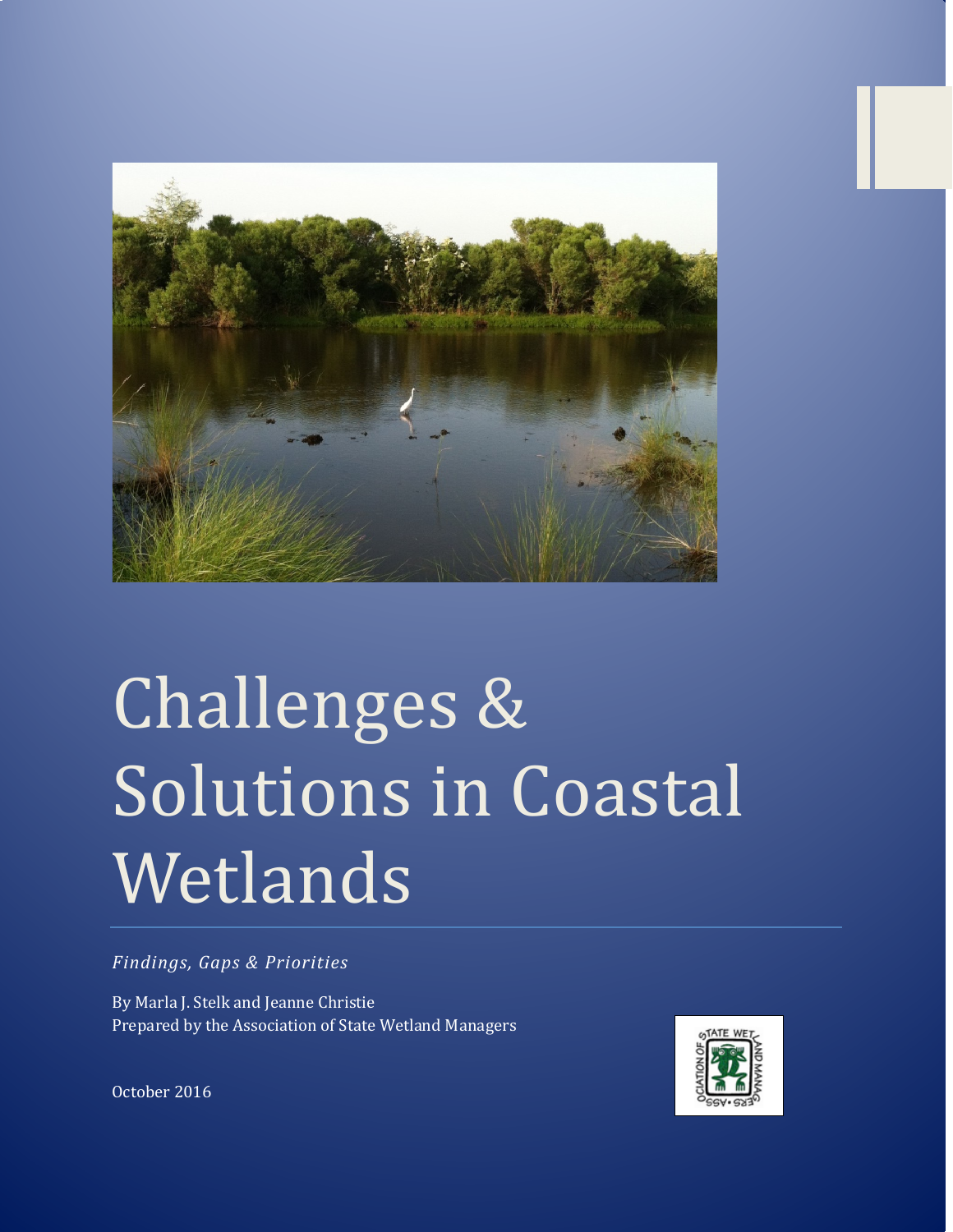

# Challenges & Solutions in Coastal Wetlands

*Findings, Gaps & Priorities*

By Marla J. Stelk and Jeanne Christie Prepared by the Association of State Wetland Managers



October 2016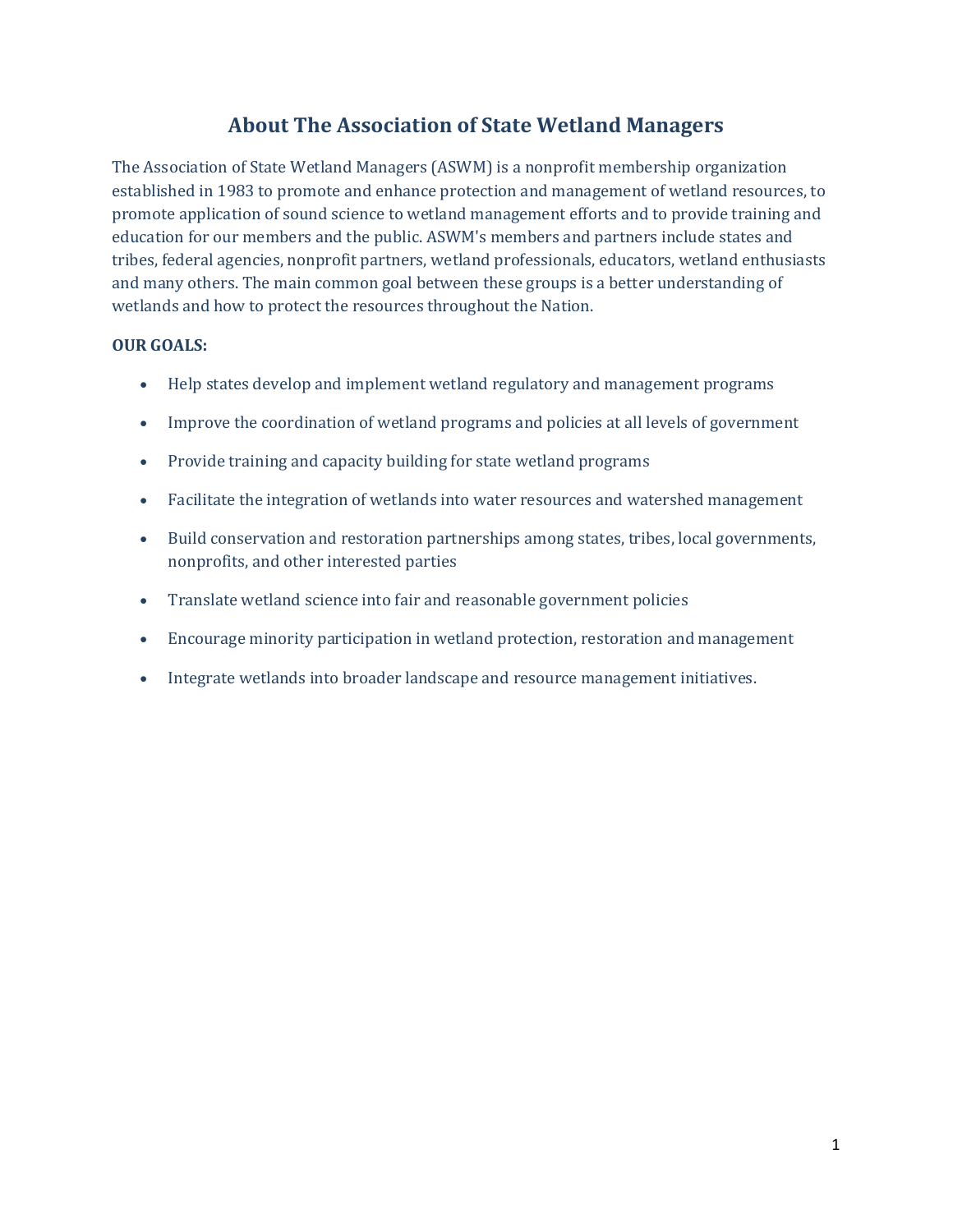# **About The Association of State Wetland Managers**

The Association of State Wetland Managers (ASWM) is a nonprofit membership organization established in 1983 to promote and enhance protection and management of wetland resources, to promote application of sound science to wetland management efforts and to provide training and education for our members and the public. ASWM's members and partners include states and tribes, federal agencies, nonprofit partners, wetland professionals, educators, wetland enthusiasts and many others. The main common goal between these groups is a better understanding of wetlands and how to protect the resources throughout the Nation.

#### **OUR GOALS:**

- Help states develop and implement wetland regulatory and management programs
- Improve the coordination of wetland programs and policies at all levels of government
- Provide training and capacity building for state wetland programs
- Facilitate the integration of wetlands into water resources and watershed management
- Build conservation and restoration partnerships among states, tribes, local governments, nonprofits, and other interested parties
- Translate wetland science into fair and reasonable government policies
- Encourage minority participation in wetland protection, restoration and management
- Integrate wetlands into broader landscape and resource management initiatives.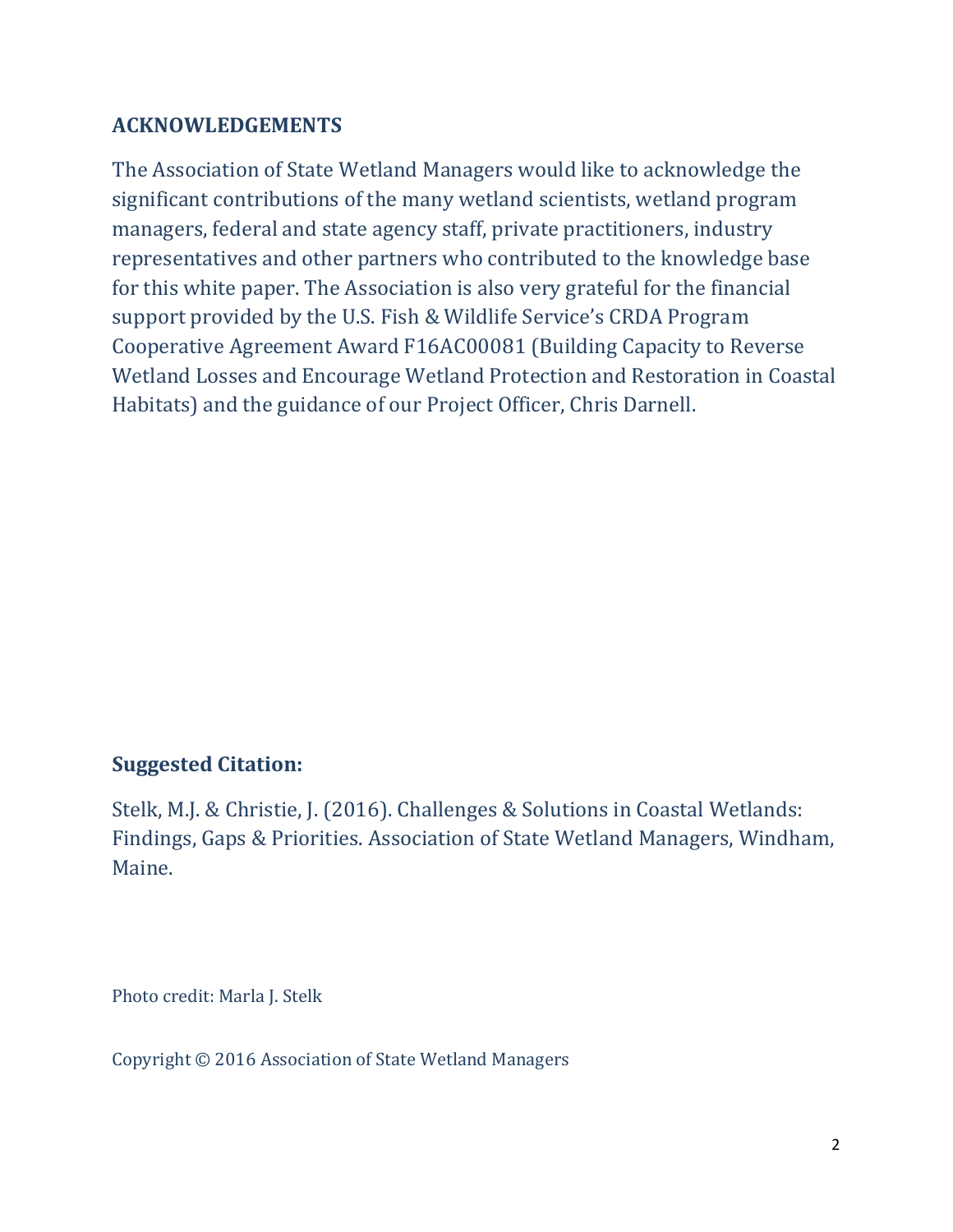# **ACKNOWLEDGEMENTS**

The Association of State Wetland Managers would like to acknowledge the significant contributions of the many wetland scientists, wetland program managers, federal and state agency staff, private practitioners, industry representatives and other partners who contributed to the knowledge base for this white paper. The Association is also very grateful for the financial support provided by the U.S. Fish & Wildlife Service's CRDA Program Cooperative Agreement Award F16AC00081 (Building Capacity to Reverse Wetland Losses and Encourage Wetland Protection and Restoration in Coastal Habitats) and the guidance of our Project Officer, Chris Darnell.

# **Suggested Citation:**

Stelk, M.J. & Christie, J. (2016). Challenges & Solutions in Coastal Wetlands: Findings, Gaps & Priorities. Association of State Wetland Managers, Windham, Maine.

Photo credit: Marla J. Stelk

Copyright © 2016 Association of State Wetland Managers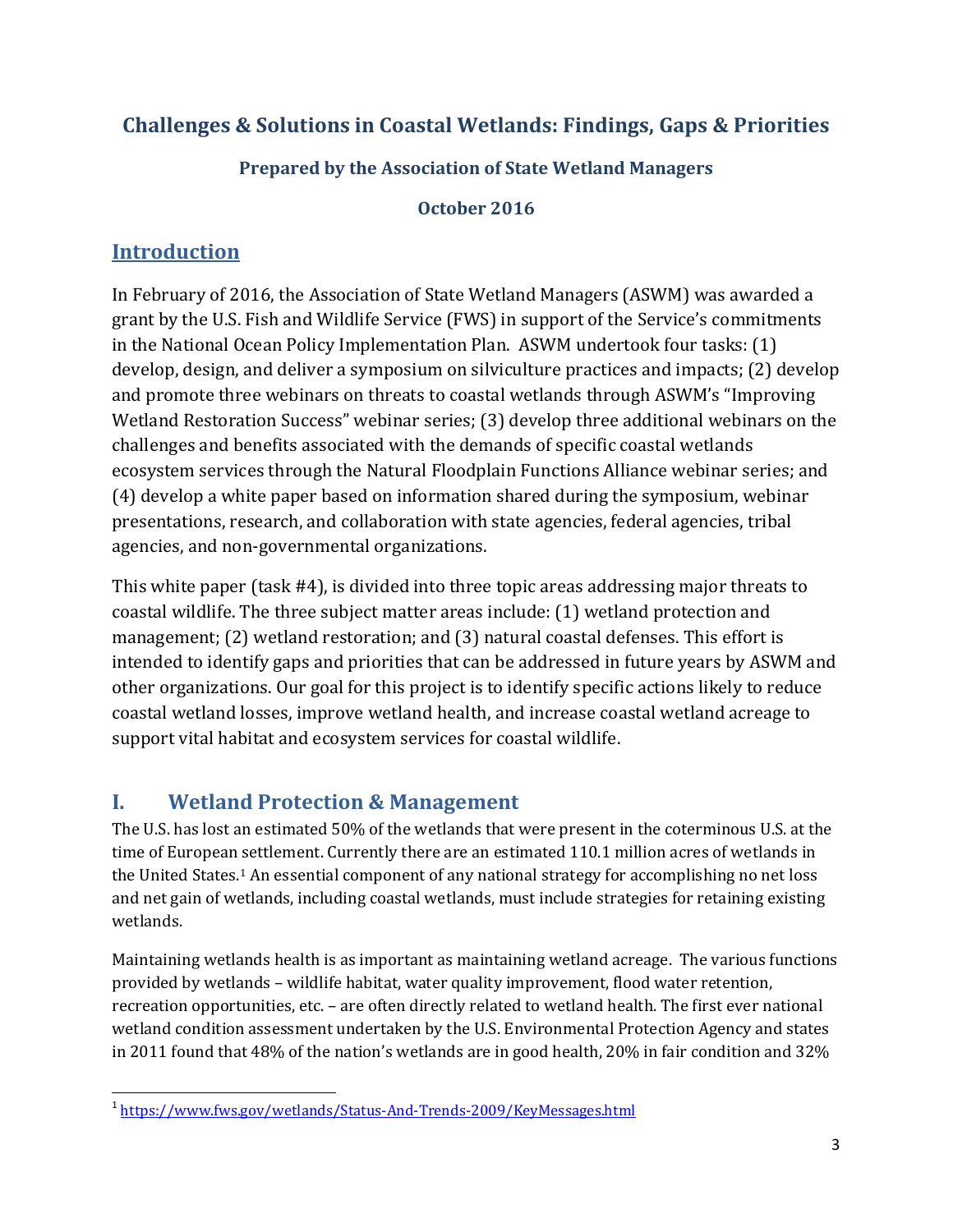# **Challenges & Solutions in Coastal Wetlands: Findings, Gaps & Priorities**

# **Prepared by the Association of State Wetland Managers**

#### **October 2016**

# **Introduction**

In February of 2016, the Association of State Wetland Managers (ASWM) was awarded a grant by the U.S. Fish and Wildlife Service (FWS) in support of the Service's commitments in the National Ocean Policy Implementation Plan. ASWM undertook four tasks: (1) develop, design, and deliver a symposium on silviculture practices and impacts; (2) develop and promote three webinars on threats to coastal wetlands through ASWM's "Improving Wetland Restoration Success" webinar series; (3) develop three additional webinars on the challenges and benefits associated with the demands of specific coastal wetlands ecosystem services through the Natural Floodplain Functions Alliance webinar series; and (4) develop a white paper based on information shared during the symposium, webinar presentations, research, and collaboration with state agencies, federal agencies, tribal agencies, and non-governmental organizations.

This white paper (task #4), is divided into three topic areas addressing major threats to coastal wildlife. The three subject matter areas include: (1) wetland protection and management; (2) wetland restoration; and (3) natural coastal defenses. This effort is intended to identify gaps and priorities that can be addressed in future years by ASWM and other organizations. Our goal for this project is to identify specific actions likely to reduce coastal wetland losses, improve wetland health, and increase coastal wetland acreage to support vital habitat and ecosystem services for coastal wildlife.

# **I. Wetland Protection & Management**

The U.S. has lost an estimated 50% of the wetlands that were present in the coterminous U.S. at the time of European settlement. Currently there are an estimated 110.1 million acres of wetlands in the United States.[1](#page-3-0) An essential component of any national strategy for accomplishing no net loss and net gain of wetlands, including coastal wetlands, must include strategies for retaining existing wetlands.

Maintaining wetlands health is as important as maintaining wetland acreage. The various functions provided by wetlands – wildlife habitat, water quality improvement, flood water retention, recreation opportunities, etc. – are often directly related to wetland health. The first ever national wetland condition assessment undertaken by the U.S. Environmental Protection Agency and states in 2011 found that 48% of the nation's wetlands are in good health, 20% in fair condition and 32%

<span id="page-3-0"></span><sup>&</sup>lt;sup>1</sup> <https://www.fws.gov/wetlands/Status-And-Trends-2009/KeyMessages.html>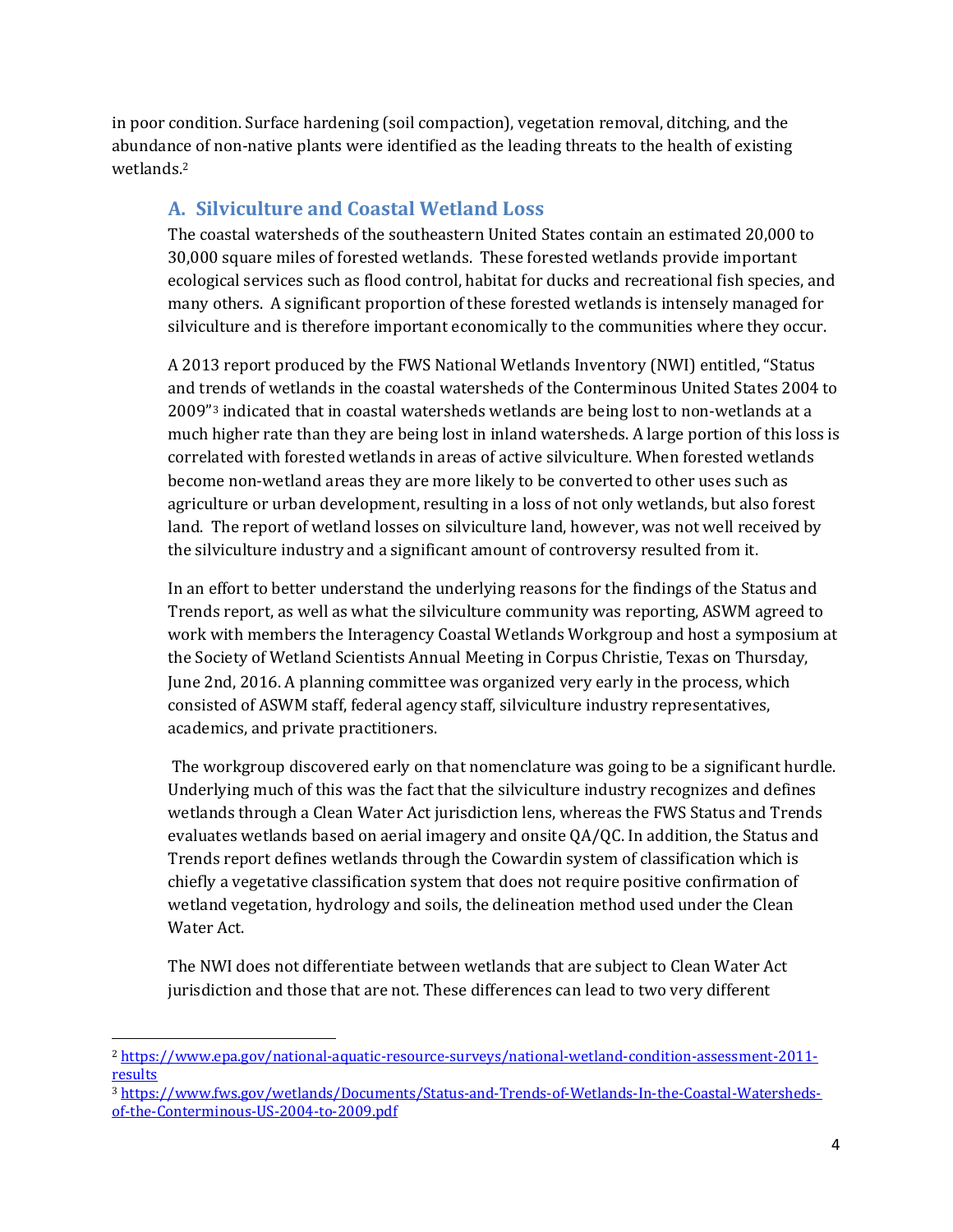in poor condition. Surface hardening (soil compaction), vegetation removal, ditching, and the abundance of non-native plants were identified as the leading threats to the health of existing wetlands.[2](#page-4-0)

## **A. Silviculture and Coastal Wetland Loss**

The coastal watersheds of the southeastern United States contain an estimated 20,000 to 30,000 square miles of forested wetlands. These forested wetlands provide important ecological services such as flood control, habitat for ducks and recreational fish species, and many others. A significant proportion of these forested wetlands is intensely managed for silviculture and is therefore important economically to the communities where they occur.

A 2013 report produced by the FWS National Wetlands Inventory (NWI) entitled, "Status and trends of wetlands in the coastal watersheds of the Conterminous United States 2004 to 2009"<sup>[3](#page-4-1)</sup> indicated that in coastal watersheds wetlands are being lost to non-wetlands at a much higher rate than they are being lost in inland watersheds. A large portion of this loss is correlated with forested wetlands in areas of active silviculture. When forested wetlands become non-wetland areas they are more likely to be converted to other uses such as agriculture or urban development, resulting in a loss of not only wetlands, but also forest land. The report of wetland losses on silviculture land, however, was not well received by the silviculture industry and a significant amount of controversy resulted from it.

In an effort to better understand the underlying reasons for the findings of the Status and Trends report, as well as what the silviculture community was reporting, ASWM agreed to work with members the Interagency Coastal Wetlands Workgroup and host a symposium at the Society of Wetland Scientists Annual Meeting in Corpus Christie, Texas on Thursday, June 2nd, 2016. A planning committee was organized very early in the process, which consisted of ASWM staff, federal agency staff, silviculture industry representatives, academics, and private practitioners.

The workgroup discovered early on that nomenclature was going to be a significant hurdle. Underlying much of this was the fact that the silviculture industry recognizes and defines wetlands through a Clean Water Act jurisdiction lens, whereas the FWS Status and Trends evaluates wetlands based on aerial imagery and onsite QA/QC. In addition, the Status and Trends report defines wetlands through the Cowardin system of classification which is chiefly a vegetative classification system that does not require positive confirmation of wetland vegetation, hydrology and soils, the delineation method used under the Clean Water Act.

The NWI does not differentiate between wetlands that are subject to Clean Water Act jurisdiction and those that are not. These differences can lead to two very different

 $\overline{a}$ 

<span id="page-4-0"></span><sup>2</sup> [https://www.epa.gov/national-aquatic-resource-surveys/national-wetland-condition-assessment-2011](https://www.epa.gov/national-aquatic-resource-surveys/national-wetland-condition-assessment-2011-results) [results](https://www.epa.gov/national-aquatic-resource-surveys/national-wetland-condition-assessment-2011-results)

<span id="page-4-1"></span><sup>3</sup> [https://www.fws.gov/wetlands/Documents/Status-and-Trends-of-Wetlands-In-the-Coastal-Watersheds](https://www.fws.gov/wetlands/Documents/Status-and-Trends-of-Wetlands-In-the-Coastal-Watersheds-of-the-Conterminous-US-2004-to-2009.pdf)[of-the-Conterminous-US-2004-to-2009.pdf](https://www.fws.gov/wetlands/Documents/Status-and-Trends-of-Wetlands-In-the-Coastal-Watersheds-of-the-Conterminous-US-2004-to-2009.pdf)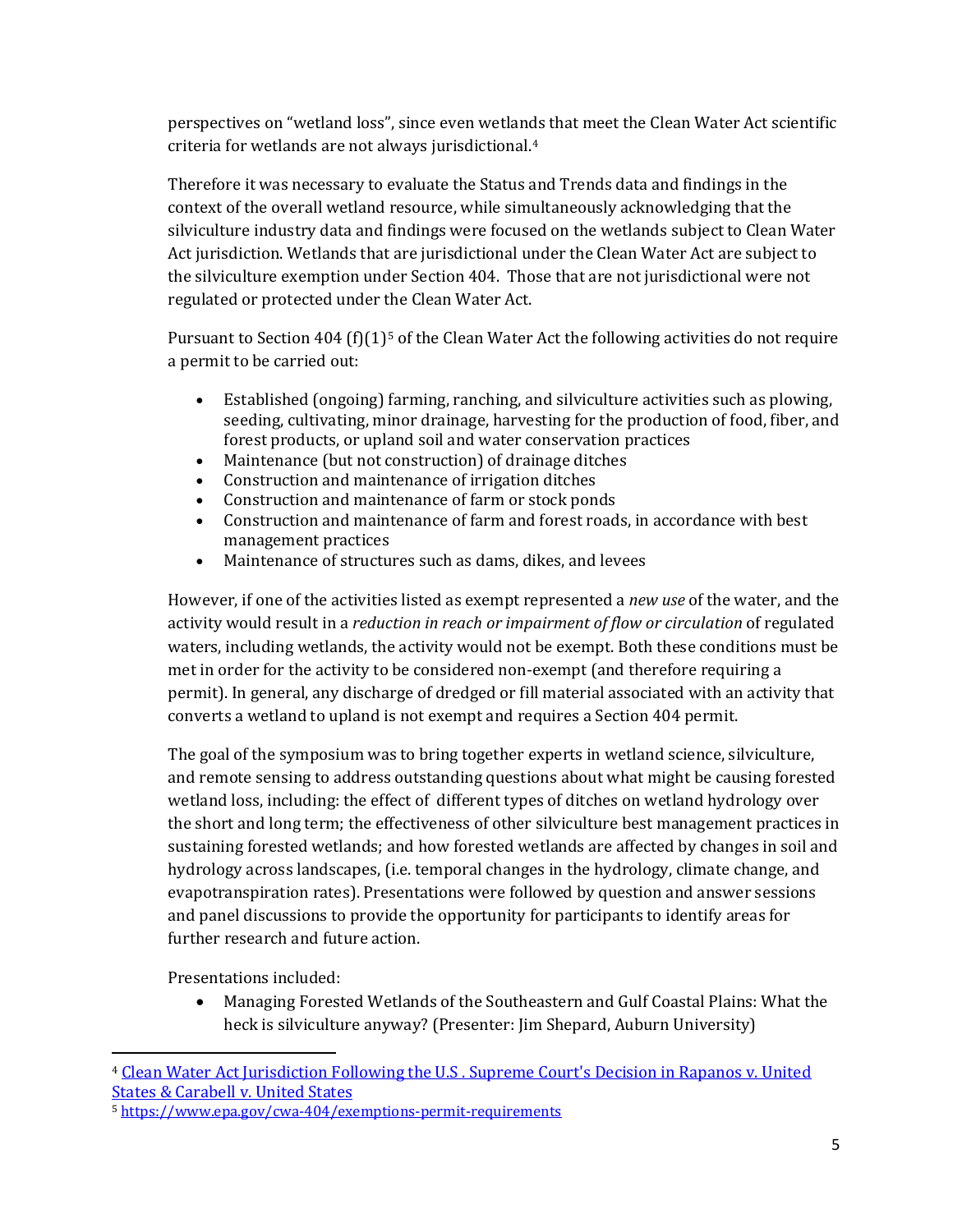perspectives on "wetland loss", since even wetlands that meet the Clean Water Act scientific criteria for wetlands are not always jurisdictional[.4](#page-5-0)

Therefore it was necessary to evaluate the Status and Trends data and findings in the context of the overall wetland resource, while simultaneously acknowledging that the silviculture industry data and findings were focused on the wetlands subject to Clean Water Act jurisdiction. Wetlands that are jurisdictional under the Clean Water Act are subject to the silviculture exemption under Section 404. Those that are not jurisdictional were not regulated or protected under the Clean Water Act.

Pursuant to Section 404 (f) $(1)^5$  $(1)^5$  of the Clean Water Act the following activities do not require a permit to be carried out:

- Established (ongoing) farming, ranching, and silviculture activities such as plowing, seeding, cultivating, minor drainage, harvesting for the production of food, fiber, and forest products, or upland soil and water conservation practices
- Maintenance (but not construction) of drainage ditches
- Construction and maintenance of irrigation ditches
- Construction and maintenance of farm or stock ponds
- Construction and maintenance of farm and forest roads, in accordance with best management practices
- Maintenance of structures such as dams, dikes, and levees

However, if one of the activities listed as exempt represented a *new use* of the water, and the activity would result in a *reduction in reach or impairment of flow or circulation* of regulated waters, including wetlands, the activity would not be exempt. Both these conditions must be met in order for the activity to be considered non-exempt (and therefore requiring a permit). In general, any discharge of dredged or fill material associated with an activity that converts a wetland to upland is not exempt and requires a Section 404 permit.

The goal of the symposium was to bring together experts in wetland science, silviculture, and remote sensing to address outstanding questions about what might be causing forested wetland loss, including: the effect of different types of ditches on wetland hydrology over the short and long term; the effectiveness of other silviculture best management practices in sustaining forested wetlands; and how forested wetlands are affected by changes in soil and hydrology across landscapes, (i.e. temporal changes in the hydrology, climate change, and evapotranspiration rates). Presentations were followed by question and answer sessions and panel discussions to provide the opportunity for participants to identify areas for further research and future action.

Presentations included:

 $\overline{a}$ 

• Managing Forested Wetlands of the Southeastern and Gulf Coastal Plains: What the heck is silviculture anyway? (Presenter: Jim Shepard, Auburn University)

<span id="page-5-0"></span><sup>4</sup> [Clean Water Act Jurisdiction Following the U.S . Supreme Court](https://www.epa.gov/sites/production/files/2016-02/documents/cwa_jurisdiction_following_rapanos120208.pdf)'s Decision in Rapanos v. United [States & Carabell v. United States](https://www.epa.gov/sites/production/files/2016-02/documents/cwa_jurisdiction_following_rapanos120208.pdf)

<span id="page-5-1"></span><sup>5</sup> <https://www.epa.gov/cwa-404/exemptions-permit-requirements>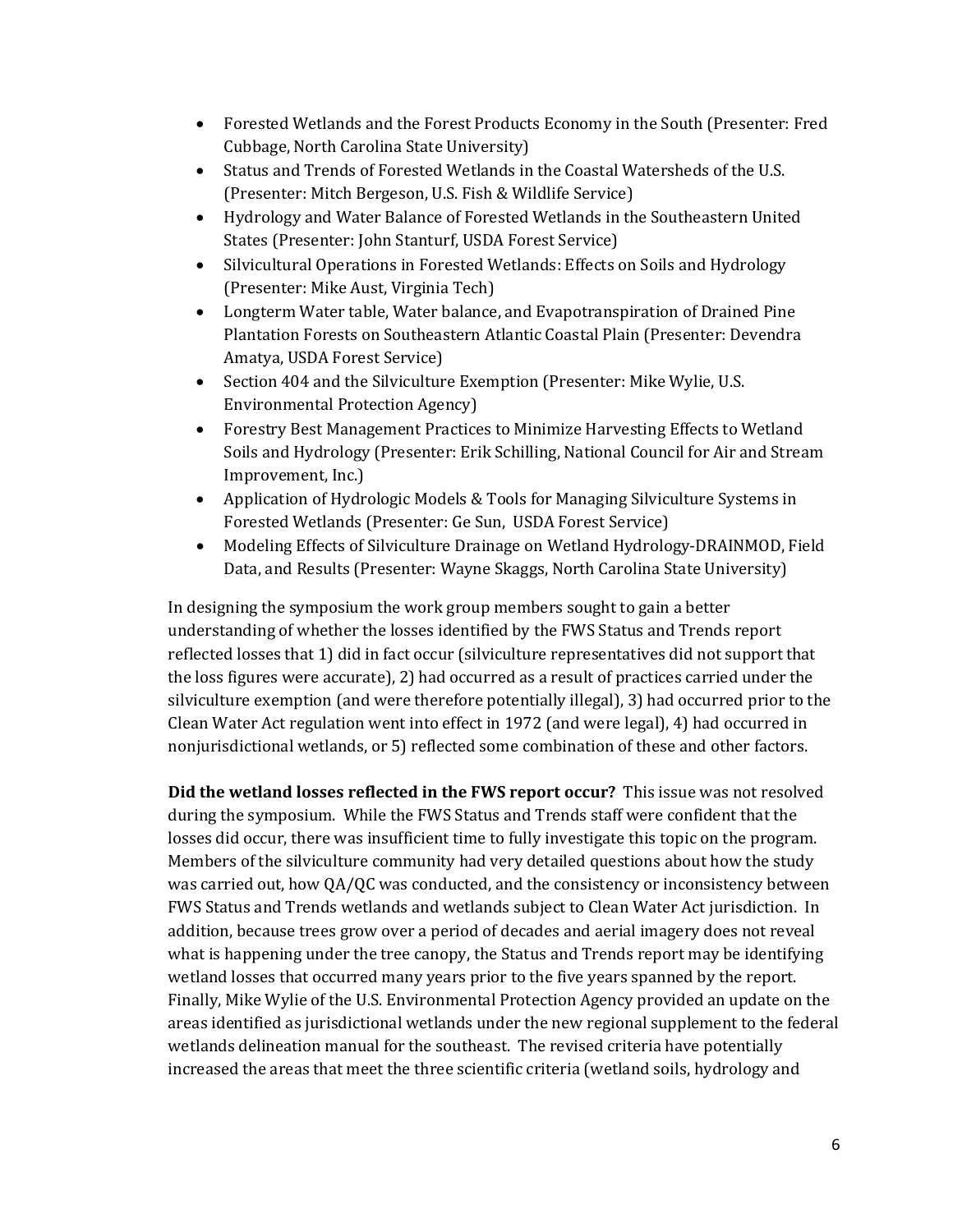- Forested Wetlands and the Forest Products Economy in the South (Presenter: Fred Cubbage, North Carolina State University)
- Status and Trends of Forested Wetlands in the Coastal Watersheds of the U.S. (Presenter: Mitch Bergeson, U.S. Fish & Wildlife Service)
- Hydrology and Water Balance of Forested Wetlands in the Southeastern United States (Presenter: John Stanturf, USDA Forest Service)
- Silvicultural Operations in Forested Wetlands: Effects on Soils and Hydrology (Presenter: Mike Aust, Virginia Tech)
- Longterm Water table, Water balance, and Evapotranspiration of Drained Pine Plantation Forests on Southeastern Atlantic Coastal Plain (Presenter: Devendra Amatya, USDA Forest Service)
- Section 404 and the Silviculture Exemption (Presenter: Mike Wylie, U.S. Environmental Protection Agency)
- Forestry Best Management Practices to Minimize Harvesting Effects to Wetland Soils and Hydrology (Presenter: Erik Schilling, National Council for Air and Stream Improvement, Inc.)
- Application of Hydrologic Models & Tools for Managing Silviculture Systems in Forested Wetlands (Presenter: Ge Sun, USDA Forest Service)
- Modeling Effects of Silviculture Drainage on Wetland Hydrology-DRAINMOD, Field Data, and Results (Presenter: Wayne Skaggs, North Carolina State University)

In designing the symposium the work group members sought to gain a better understanding of whether the losses identified by the FWS Status and Trends report reflected losses that 1) did in fact occur (silviculture representatives did not support that the loss figures were accurate), 2) had occurred as a result of practices carried under the silviculture exemption (and were therefore potentially illegal), 3) had occurred prior to the Clean Water Act regulation went into effect in 1972 (and were legal), 4) had occurred in nonjurisdictional wetlands, or 5) reflected some combination of these and other factors.

**Did the wetland losses reflected in the FWS report occur?** This issue was not resolved during the symposium. While the FWS Status and Trends staff were confident that the losses did occur, there was insufficient time to fully investigate this topic on the program. Members of the silviculture community had very detailed questions about how the study was carried out, how QA/QC was conducted, and the consistency or inconsistency between FWS Status and Trends wetlands and wetlands subject to Clean Water Act jurisdiction. In addition, because trees grow over a period of decades and aerial imagery does not reveal what is happening under the tree canopy, the Status and Trends report may be identifying wetland losses that occurred many years prior to the five years spanned by the report. Finally, Mike Wylie of the U.S. Environmental Protection Agency provided an update on the areas identified as jurisdictional wetlands under the new regional supplement to the federal wetlands delineation manual for the southeast. The revised criteria have potentially increased the areas that meet the three scientific criteria (wetland soils, hydrology and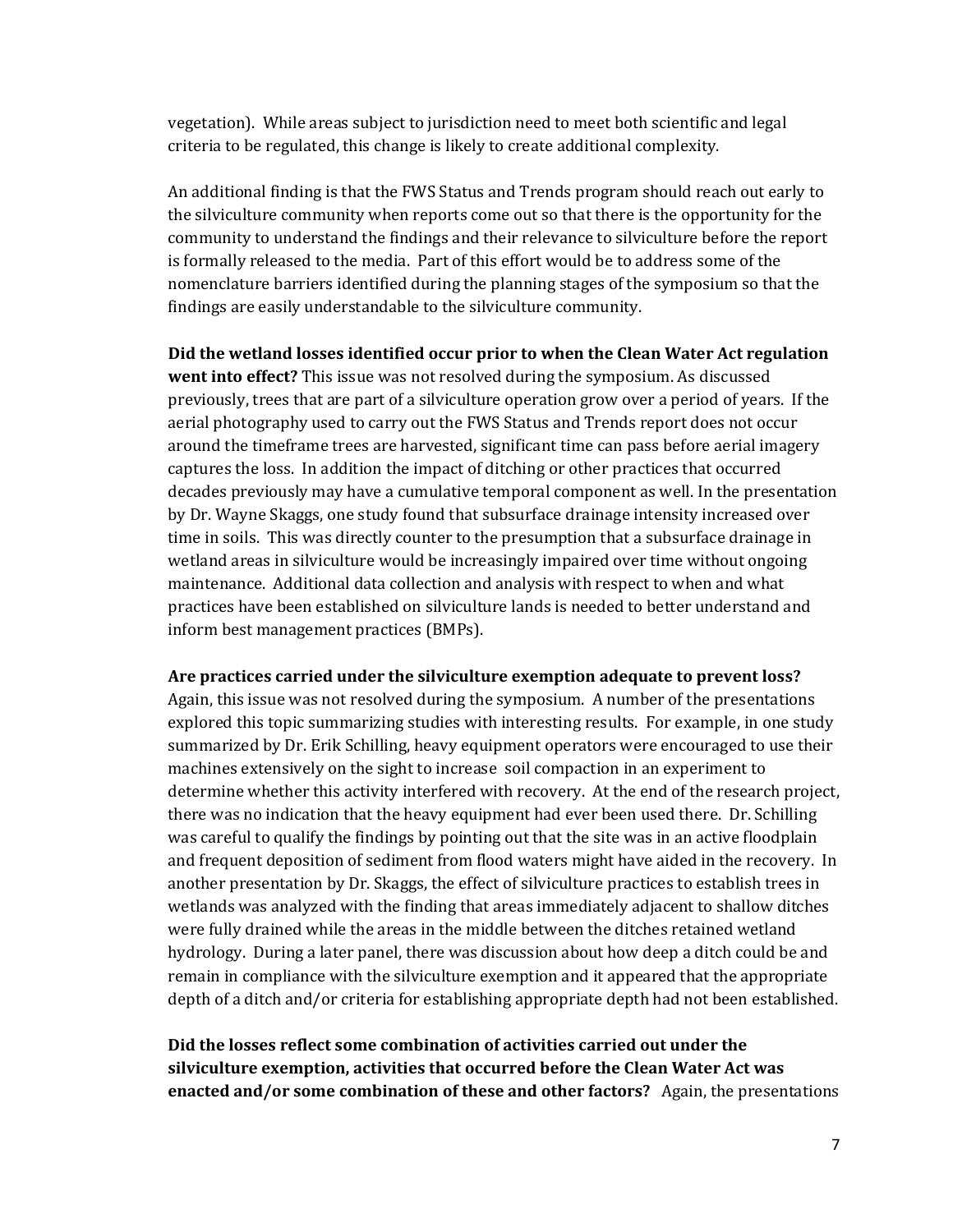vegetation). While areas subject to jurisdiction need to meet both scientific and legal criteria to be regulated, this change is likely to create additional complexity.

An additional finding is that the FWS Status and Trends program should reach out early to the silviculture community when reports come out so that there is the opportunity for the community to understand the findings and their relevance to silviculture before the report is formally released to the media. Part of this effort would be to address some of the nomenclature barriers identified during the planning stages of the symposium so that the findings are easily understandable to the silviculture community.

**Did the wetland losses identified occur prior to when the Clean Water Act regulation went into effect?** This issue was not resolved during the symposium. As discussed previously, trees that are part of a silviculture operation grow over a period of years. If the aerial photography used to carry out the FWS Status and Trends report does not occur around the timeframe trees are harvested, significant time can pass before aerial imagery captures the loss. In addition the impact of ditching or other practices that occurred decades previously may have a cumulative temporal component as well. In the presentation by Dr. Wayne Skaggs, one study found that subsurface drainage intensity increased over time in soils. This was directly counter to the presumption that a subsurface drainage in wetland areas in silviculture would be increasingly impaired over time without ongoing maintenance. Additional data collection and analysis with respect to when and what practices have been established on silviculture lands is needed to better understand and inform best management practices (BMPs).

#### **Are practices carried under the silviculture exemption adequate to prevent loss?**

Again, this issue was not resolved during the symposium. A number of the presentations explored this topic summarizing studies with interesting results. For example, in one study summarized by Dr. Erik Schilling, heavy equipment operators were encouraged to use their machines extensively on the sight to increase soil compaction in an experiment to determine whether this activity interfered with recovery. At the end of the research project, there was no indication that the heavy equipment had ever been used there. Dr. Schilling was careful to qualify the findings by pointing out that the site was in an active floodplain and frequent deposition of sediment from flood waters might have aided in the recovery. In another presentation by Dr. Skaggs, the effect of silviculture practices to establish trees in wetlands was analyzed with the finding that areas immediately adjacent to shallow ditches were fully drained while the areas in the middle between the ditches retained wetland hydrology. During a later panel, there was discussion about how deep a ditch could be and remain in compliance with the silviculture exemption and it appeared that the appropriate depth of a ditch and/or criteria for establishing appropriate depth had not been established.

#### **Did the losses reflect some combination of activities carried out under the silviculture exemption, activities that occurred before the Clean Water Act was enacted and/or some combination of these and other factors?** Again, the presentations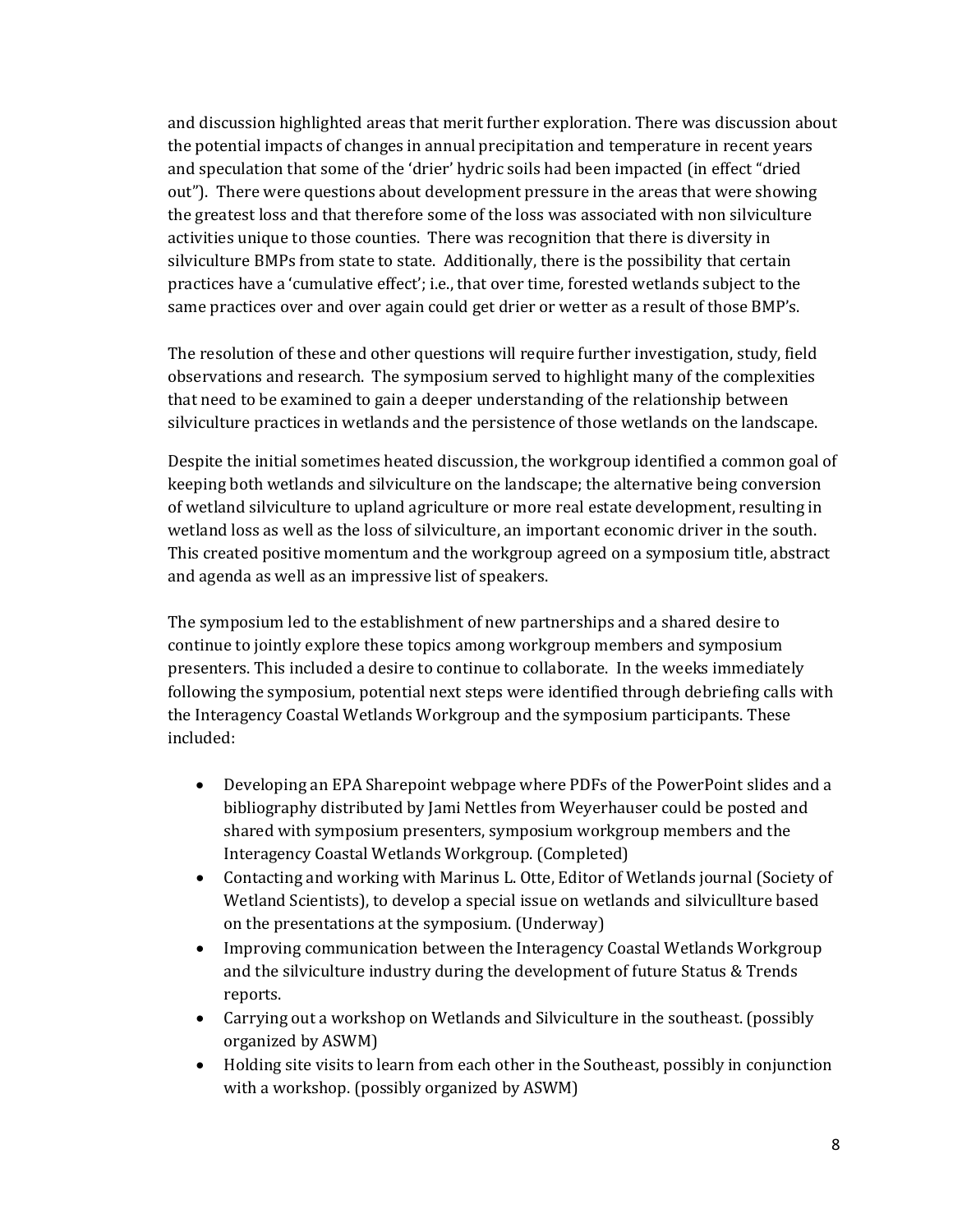and discussion highlighted areas that merit further exploration. There was discussion about the potential impacts of changes in annual precipitation and temperature in recent years and speculation that some of the 'drier' hydric soils had been impacted (in effect "dried out"). There were questions about development pressure in the areas that were showing the greatest loss and that therefore some of the loss was associated with non silviculture activities unique to those counties. There was recognition that there is diversity in silviculture BMPs from state to state. Additionally, there is the possibility that certain practices have a 'cumulative effect'; i.e., that over time, forested wetlands subject to the same practices over and over again could get drier or wetter as a result of those BMP's.

The resolution of these and other questions will require further investigation, study, field observations and research. The symposium served to highlight many of the complexities that need to be examined to gain a deeper understanding of the relationship between silviculture practices in wetlands and the persistence of those wetlands on the landscape.

Despite the initial sometimes heated discussion, the workgroup identified a common goal of keeping both wetlands and silviculture on the landscape; the alternative being conversion of wetland silviculture to upland agriculture or more real estate development, resulting in wetland loss as well as the loss of silviculture, an important economic driver in the south. This created positive momentum and the workgroup agreed on a symposium title, abstract and agenda as well as an impressive list of speakers.

The symposium led to the establishment of new partnerships and a shared desire to continue to jointly explore these topics among workgroup members and symposium presenters. This included a desire to continue to collaborate. In the weeks immediately following the symposium, potential next steps were identified through debriefing calls with the Interagency Coastal Wetlands Workgroup and the symposium participants. These included:

- Developing an EPA Sharepoint webpage where PDFs of the PowerPoint slides and a bibliography distributed by Jami Nettles from Weyerhauser could be posted and shared with symposium presenters, symposium workgroup members and the Interagency Coastal Wetlands Workgroup. (Completed)
- Contacting and working with Marinus L. Otte, Editor of Wetlands journal (Society of Wetland Scientists), to develop a special issue on wetlands and silvicullture based on the presentations at the symposium. (Underway)
- Improving communication between the Interagency Coastal Wetlands Workgroup and the silviculture industry during the development of future Status & Trends reports.
- Carrying out a workshop on Wetlands and Silviculture in the southeast. (possibly organized by ASWM)
- Holding site visits to learn from each other in the Southeast, possibly in conjunction with a workshop. (possibly organized by ASWM)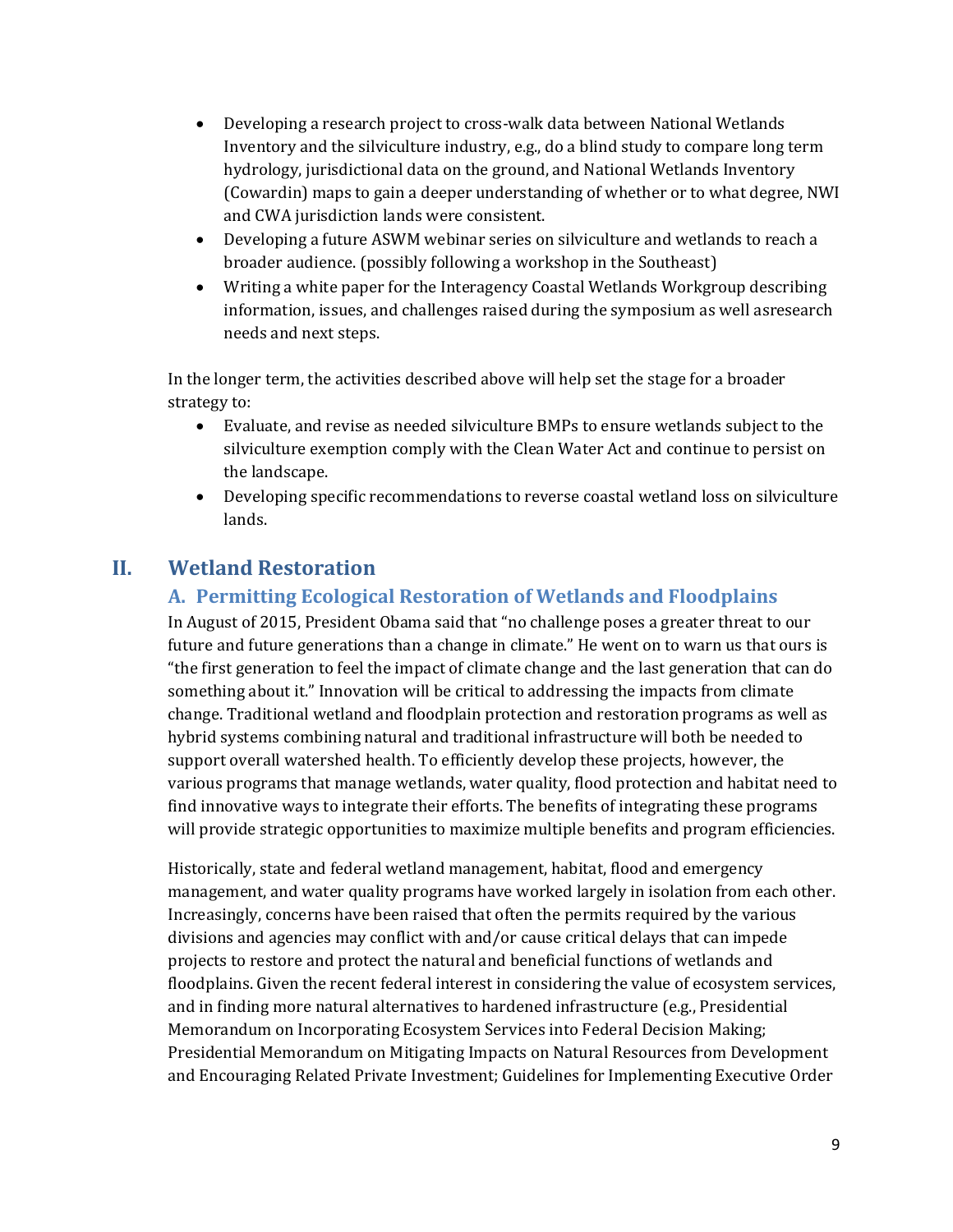- Developing a research project to cross-walk data between National Wetlands Inventory and the silviculture industry, e.g., do a blind study to compare long term hydrology, jurisdictional data on the ground, and National Wetlands Inventory (Cowardin) maps to gain a deeper understanding of whether or to what degree, NWI and CWA jurisdiction lands were consistent.
- Developing a future ASWM webinar series on silviculture and wetlands to reach a broader audience. (possibly following a workshop in the Southeast)
- Writing a white paper for the Interagency Coastal Wetlands Workgroup describing information, issues, and challenges raised during the symposium as well asresearch needs and next steps.

In the longer term, the activities described above will help set the stage for a broader strategy to:

- Evaluate, and revise as needed silviculture BMPs to ensure wetlands subject to the silviculture exemption comply with the Clean Water Act and continue to persist on the landscape.
- Developing specific recommendations to reverse coastal wetland loss on silviculture lands.

# **II. Wetland Restoration**

## **A. Permitting Ecological Restoration of Wetlands and Floodplains**

In August of 2015, President Obama said that "no challenge poses a greater threat to our future and future generations than a change in climate." He went on to warn us that ours is "the first generation to feel the impact of climate change and the last generation that can do something about it." Innovation will be critical to addressing the impacts from climate change. Traditional wetland and floodplain protection and restoration programs as well as hybrid systems combining natural and traditional infrastructure will both be needed to support overall watershed health. To efficiently develop these projects, however, the various programs that manage wetlands, water quality, flood protection and habitat need to find innovative ways to integrate their efforts. The benefits of integrating these programs will provide strategic opportunities to maximize multiple benefits and program efficiencies.

Historically, state and federal wetland management, habitat, flood and emergency management, and water quality programs have worked largely in isolation from each other. Increasingly, concerns have been raised that often the permits required by the various divisions and agencies may conflict with and/or cause critical delays that can impede projects to restore and protect the natural and beneficial functions of wetlands and floodplains. Given the recent federal interest in considering the value of ecosystem services, and in finding more natural alternatives to hardened infrastructure (e.g., Presidential Memorandum on Incorporating Ecosystem Services into Federal Decision Making; Presidential Memorandum on Mitigating Impacts on Natural Resources from Development and Encouraging Related Private Investment; Guidelines for Implementing Executive Order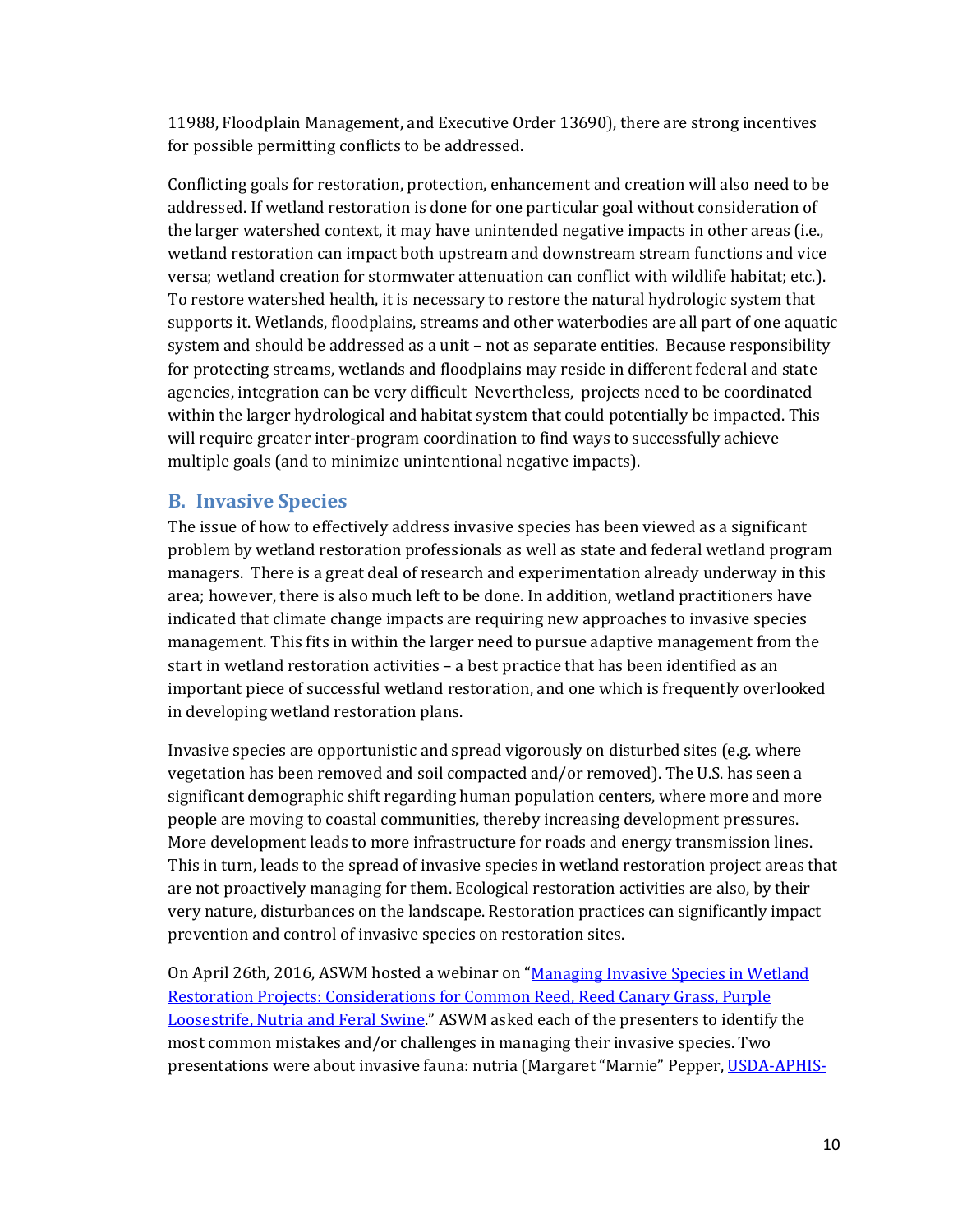11988, Floodplain Management, and Executive Order 13690), there are strong incentives for possible permitting conflicts to be addressed.

Conflicting goals for restoration, protection, enhancement and creation will also need to be addressed. If wetland restoration is done for one particular goal without consideration of the larger watershed context, it may have unintended negative impacts in other areas (i.e., wetland restoration can impact both upstream and downstream stream functions and vice versa; wetland creation for stormwater attenuation can conflict with wildlife habitat; etc.). To restore watershed health, it is necessary to restore the natural hydrologic system that supports it. Wetlands, floodplains, streams and other waterbodies are all part of one aquatic system and should be addressed as a unit – not as separate entities. Because responsibility for protecting streams, wetlands and floodplains may reside in different federal and state agencies, integration can be very difficult Nevertheless, projects need to be coordinated within the larger hydrological and habitat system that could potentially be impacted. This will require greater inter-program coordination to find ways to successfully achieve multiple goals (and to minimize unintentional negative impacts).

#### **B. Invasive Species**

The issue of how to effectively address invasive species has been viewed as a significant problem by wetland restoration professionals as well as state and federal wetland program managers. There is a great deal of research and experimentation already underway in this area; however, there is also much left to be done. In addition, wetland practitioners have indicated that climate change impacts are requiring new approaches to invasive species management. This fits in within the larger need to pursue adaptive management from the start in wetland restoration activities – a best practice that has been identified as an important piece of successful wetland restoration, and one which is frequently overlooked in developing wetland restoration plans.

Invasive species are opportunistic and spread vigorously on disturbed sites (e.g. where vegetation has been removed and soil compacted and/or removed). The U.S. has seen a significant demographic shift regarding human population centers, where more and more people are moving to coastal communities, thereby increasing development pressures. More development leads to more infrastructure for roads and energy transmission lines. This in turn, leads to the spread of invasive species in wetland restoration project areas that are not proactively managing for them. Ecological restoration activities are also, by their very nature, disturbances on the landscape. Restoration practices can significantly impact prevention and control of invasive species on restoration sites.

On April 26th, 2016, ASWM hosted a webinar on ["Managing Invasive Species in Wetland](http://www.aswm.org/aswm/9230-2016-past-webinars-improving-wetland-restoration-success-project#042616webinar)  [Restoration Projects: Considerations for Common Reed, Reed Canary Grass, Purple](http://www.aswm.org/aswm/9230-2016-past-webinars-improving-wetland-restoration-success-project#042616webinar)  [Loosestrife, Nutria and Feral Swine.](http://www.aswm.org/aswm/9230-2016-past-webinars-improving-wetland-restoration-success-project#042616webinar)" ASWM asked each of the presenters to identify the most common mistakes and/or challenges in managing their invasive species. Two presentations were about invasive fauna: nutria (Margaret "Marnie" Pepper[, USDA-APHIS-](https://www.aphis.usda.gov/aphis/ourfocus/wildlifedamage/SA_Program_Overview)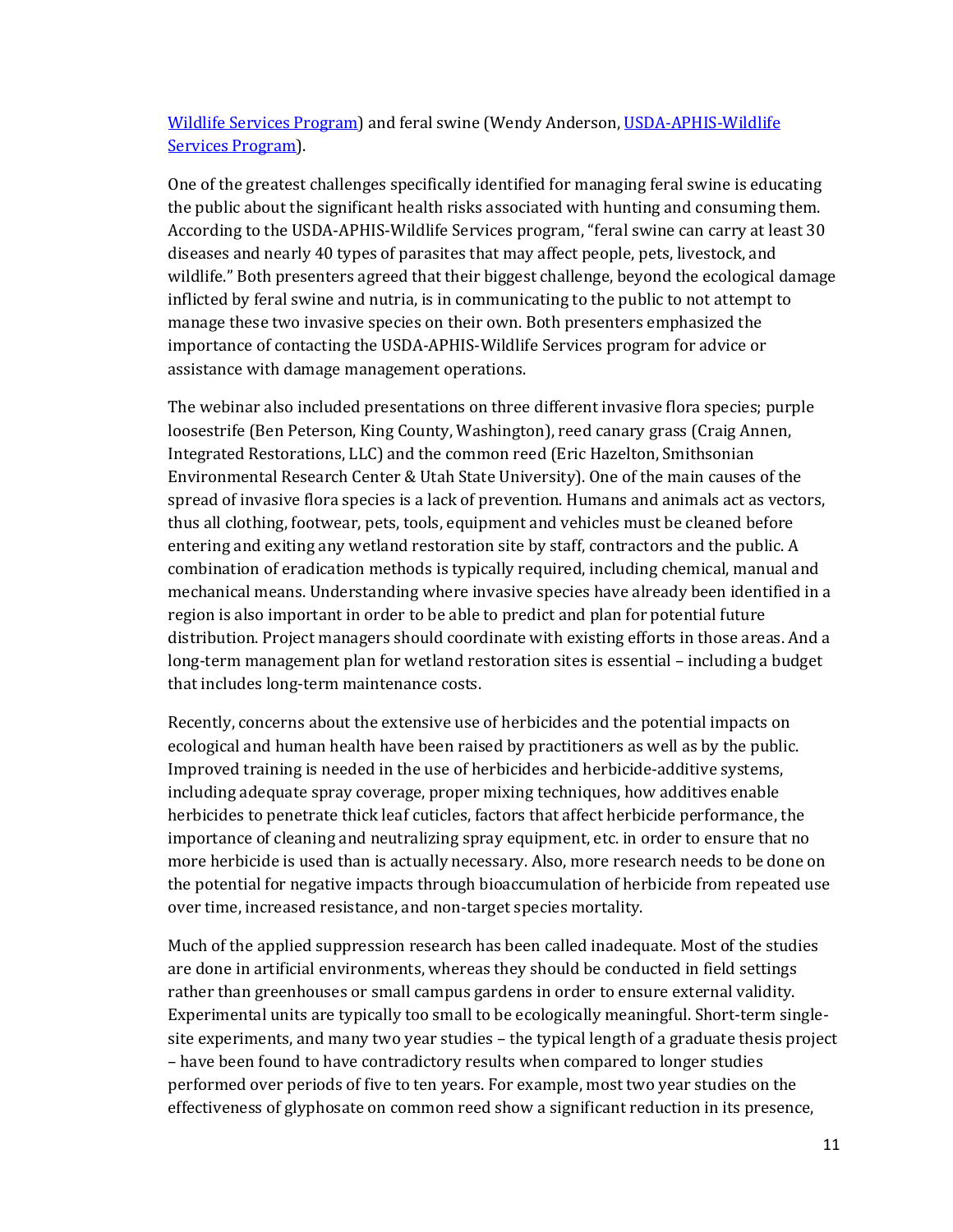[Wildlife Services](https://www.aphis.usda.gov/aphis/ourfocus/wildlifedamage/SA_Program_Overview) Program) and feral swine (Wendy Anderson, [USDA-APHIS-Wildlife](https://www.aphis.usda.gov/aphis/ourfocus/wildlifedamage/SA_Program_Overview)  Services [Program\)](https://www.aphis.usda.gov/aphis/ourfocus/wildlifedamage/SA_Program_Overview).

One of the greatest challenges specifically identified for managing feral swine is educating the public about the significant health risks associated with hunting and consuming them. According to the USDA-APHIS-Wildlife Services program, "feral swine can carry at least 30 diseases and nearly 40 types of parasites that may affect people, pets, livestock, and wildlife." Both presenters agreed that their biggest challenge, beyond the ecological damage inflicted by feral swine and nutria, is in communicating to the public to not attempt to manage these two invasive species on their own. Both presenters emphasized the importance of contacting the USDA-APHIS-Wildlife Services program for advice or assistance with damage management operations.

The webinar also included presentations on three different invasive flora species; purple loosestrife (Ben Peterson, King County, Washington), reed canary grass (Craig Annen, Integrated Restorations, LLC) and the common reed (Eric Hazelton, Smithsonian Environmental Research Center & Utah State University). One of the main causes of the spread of invasive flora species is a lack of prevention. Humans and animals act as vectors, thus all clothing, footwear, pets, tools, equipment and vehicles must be cleaned before entering and exiting any wetland restoration site by staff, contractors and the public. A combination of eradication methods is typically required, including chemical, manual and mechanical means. Understanding where invasive species have already been identified in a region is also important in order to be able to predict and plan for potential future distribution. Project managers should coordinate with existing efforts in those areas. And a long-term management plan for wetland restoration sites is essential – including a budget that includes long-term maintenance costs.

Recently, concerns about the extensive use of herbicides and the potential impacts on ecological and human health have been raised by practitioners as well as by the public. Improved training is needed in the use of herbicides and herbicide-additive systems, including adequate spray coverage, proper mixing techniques, how additives enable herbicides to penetrate thick leaf cuticles, factors that affect herbicide performance, the importance of cleaning and neutralizing spray equipment, etc. in order to ensure that no more herbicide is used than is actually necessary. Also, more research needs to be done on the potential for negative impacts through bioaccumulation of herbicide from repeated use over time, increased resistance, and non-target species mortality.

Much of the applied suppression research has been called inadequate. Most of the studies are done in artificial environments, whereas they should be conducted in field settings rather than greenhouses or small campus gardens in order to ensure external validity. Experimental units are typically too small to be ecologically meaningful. Short-term singlesite experiments, and many two year studies – the typical length of a graduate thesis project – have been found to have contradictory results when compared to longer studies performed over periods of five to ten years. For example, most two year studies on the effectiveness of glyphosate on common reed show a significant reduction in its presence,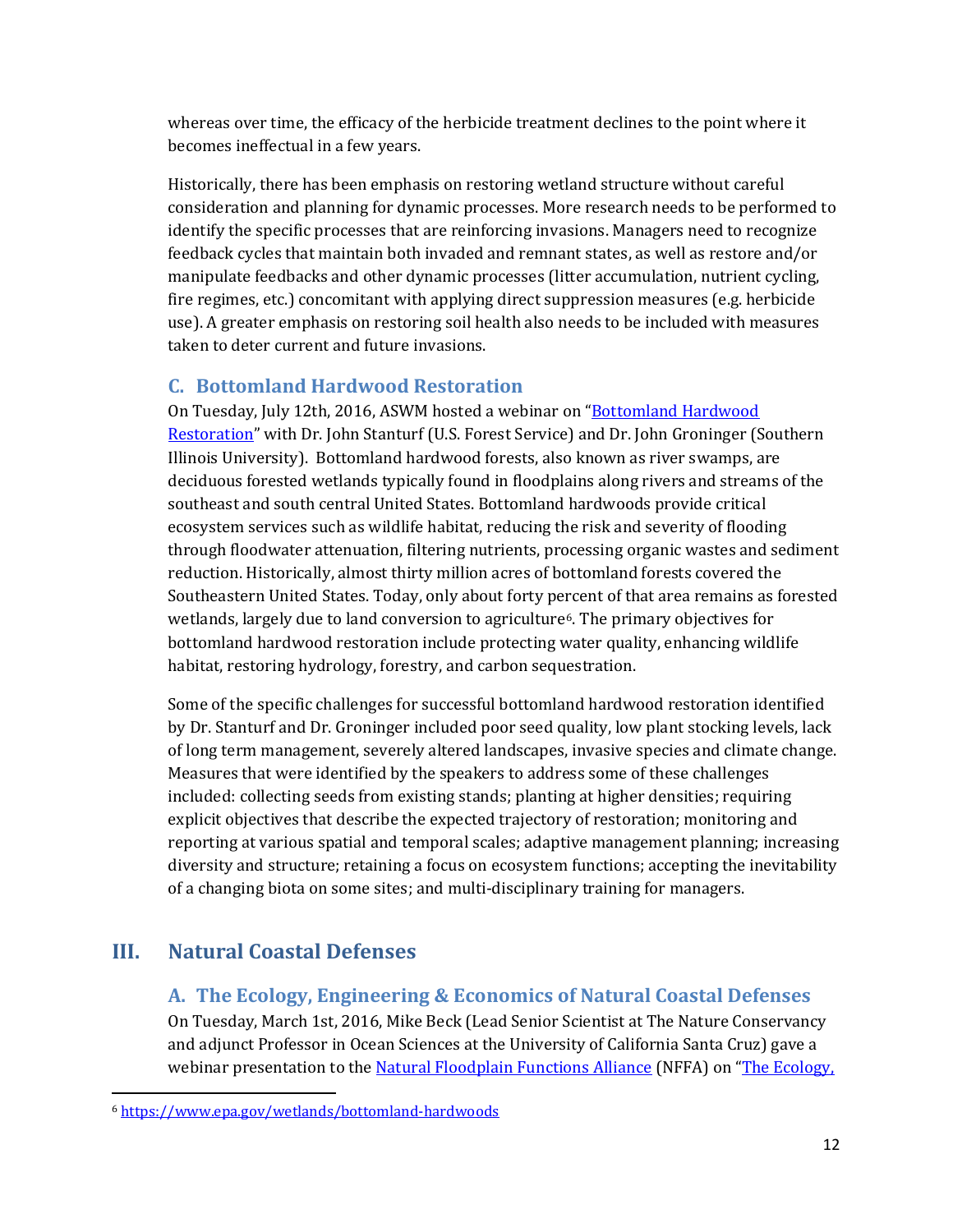whereas over time, the efficacy of the herbicide treatment declines to the point where it becomes ineffectual in a few years.

Historically, there has been emphasis on restoring wetland structure without careful consideration and planning for dynamic processes. More research needs to be performed to identify the specific processes that are reinforcing invasions. Managers need to recognize feedback cycles that maintain both invaded and remnant states, as well as restore and/or manipulate feedbacks and other dynamic processes (litter accumulation, nutrient cycling, fire regimes, etc.) concomitant with applying direct suppression measures (e.g. herbicide use). A greater emphasis on restoring soil health also needs to be included with measures taken to deter current and future invasions.

## **C. Bottomland Hardwood Restoration**

On Tuesday, July 12th, 2016, ASWM hosted a webinar on ["Bottomland Hardwood](http://www.aswm.org/aswm/9230-2016-past-webinars-improving-wetland-restoration-success-project#webinar071216)  [Restoration"](http://www.aswm.org/aswm/9230-2016-past-webinars-improving-wetland-restoration-success-project#webinar071216) with Dr. John Stanturf (U.S. Forest Service) and Dr. John Groninger (Southern Illinois University). Bottomland hardwood forests, also known as river swamps, are deciduous forested wetlands typically found in floodplains along rivers and streams of the southeast and south central United States. Bottomland hardwoods provide critical ecosystem services such as wildlife habitat, reducing the risk and severity of flooding through floodwater attenuation, filtering nutrients, processing organic wastes and sediment reduction. Historically, almost thirty million acres of bottomland forests covered the Southeastern United States. Today, only about forty percent of that area remains as forested wetlands, largely due to land conversion to agriculture[6](#page-12-0). The primary objectives for bottomland hardwood restoration include protecting water quality, enhancing wildlife habitat, restoring hydrology, forestry, and carbon sequestration.

Some of the specific challenges for successful bottomland hardwood restoration identified by Dr. Stanturf and Dr. Groninger included poor seed quality, low plant stocking levels, lack of long term management, severely altered landscapes, invasive species and climate change. Measures that were identified by the speakers to address some of these challenges included: collecting seeds from existing stands; planting at higher densities; requiring explicit objectives that describe the expected trajectory of restoration; monitoring and reporting at various spatial and temporal scales; adaptive management planning; increasing diversity and structure; retaining a focus on ecosystem functions; accepting the inevitability of a changing biota on some sites; and multi-disciplinary training for managers.

# **III. Natural Coastal Defenses**

## **A. The Ecology, Engineering & Economics of Natural Coastal Defenses**

On Tuesday, March 1st, 2016, Mike Beck (Lead Senior Scientist at The Nature Conservancy and adjunct Professor in Ocean Sciences at the University of California Santa Cruz) gave a webinar presentation to th[e Natural Floodplain Functions Alliance](http://www.aswm.org/watersheds/natural-floodplain-function-alliance) (NFFA) on "The Ecology,

<span id="page-12-0"></span> $\overline{a}$ <sup>6</sup> <https://www.epa.gov/wetlands/bottomland-hardwoods>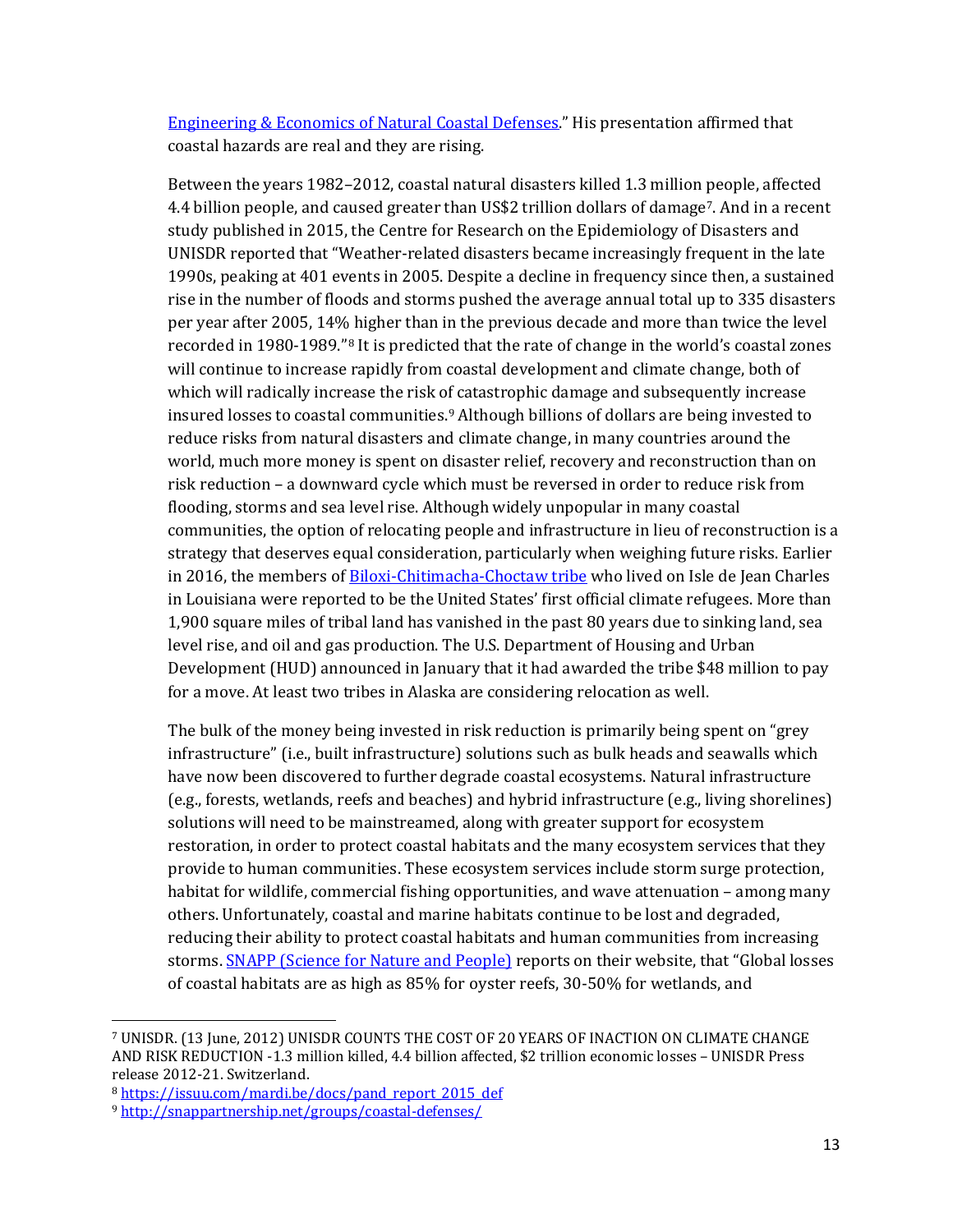[Engineering & Economics of Natural Coastal Defenses.](http://www.aswm.org/testlocal/watersheds/natural-floodplain-function-alliance/9284-2016-nffa-recorded-webinars#030116webinar)" His presentation affirmed that coastal hazards are real and they are rising.

Between the years 1982–2012, coastal natural disasters killed 1.3 million people, affected 4.4 billion people, and caused greater than US\$2 trillion dollars of damage<sup>7</sup>. And in a recent study published in 2015, the Centre for Research on the Epidemiology of Disasters and UNISDR reported that "Weather-related disasters became increasingly frequent in the late 1990s, peaking at 401 events in 2005. Despite a decline in frequency since then, a sustained rise in the number of floods and storms pushed the average annual total up to 335 disasters per year after 2005, 14[% h](#page-13-1)igher than in the previous decade and more than twice the level recorded in 1980-1989."8 It is predicted that the rate of change in the world's coastal zones will continue to increase rapidly from coastal development and climate change, both of which will radically increase the risk of catastrophic damage and subsequently increase insured losses to coastal communities[.9](#page-13-2) Although billions of dollars are being invested to reduce risks from natural disasters and climate change, in many countries around the world, much more money is spent on disaster relief, recovery and reconstruction than on risk reduction – a downward cycle which must be reversed in order to reduce risk from flooding, storms and sea level rise. Although widely unpopular in many coastal communities, the option of relocating people and infrastructure in lieu of reconstruction is a strategy that deserves equal consideration, particularly when weighing future risks. Earlier in 2016, the members of [Biloxi-Chitimacha-Choctaw tribe](http://indiancountrytodaymedianetwork.com/2016/02/05/biloxi-chitimacha-choctaw-get-48-million-move-disappearing-louisiana-island-163310) who lived on Isle de Jean Charles in Louisiana were reported to be the United States' first official climate refugees. More than 1,900 square miles of tribal land has vanished in the past 80 years due to sinking land, sea level rise, and oil and gas production. The U.S. Department of Housing and Urban Development (HUD) announced in January that it had awarded the tribe \$48 million to pay for a move. At least two tribes in Alaska are considering relocation as well.

The bulk of the money being invested in risk reduction is primarily being spent on "grey infrastructure" (i.e., built infrastructure) solutions such as bulk heads and seawalls which have now been discovered to further degrade coastal ecosystems. Natural infrastructure (e.g., forests, wetlands, reefs and beaches) and hybrid infrastructure (e.g., living shorelines) solutions will need to be mainstreamed, along with greater support for ecosystem restoration, in order to protect coastal habitats and the many ecosystem services that they provide to human communities. These ecosystem services include storm surge protection, habitat for wildlife, commercial fishing opportunities, and wave attenuation – among many others. Unfortunately, coastal and marine habitats continue to be lost and degraded, reducing their ability to protect coastal habitats and human communities from increasing storms[. SNAPP \(Science for Nature and People\)](http://snappartnership.net/groups/coastal-defenses/) reports on their website, that "Global losses of coastal habitats are as high as 85% for oyster reefs, 30-50% for wetlands, and

 $\overline{a}$ 

<span id="page-13-0"></span><sup>7</sup> UNISDR. (13 June, 2012) UNISDR COUNTS THE COST OF 20 YEARS OF INACTION ON CLIMATE CHANGE AND RISK REDUCTION -1.3 million killed, 4.4 billion affected, \$2 trillion economic losses – UNISDR Press release 2012-21. Switzerland.

<span id="page-13-1"></span><sup>8</sup> [https://issuu.com/mardi.be/docs/pand\\_report\\_2015\\_def](https://issuu.com/mardi.be/docs/pand_report_2015_def)

<span id="page-13-2"></span><sup>9</sup> <http://snappartnership.net/groups/coastal-defenses/>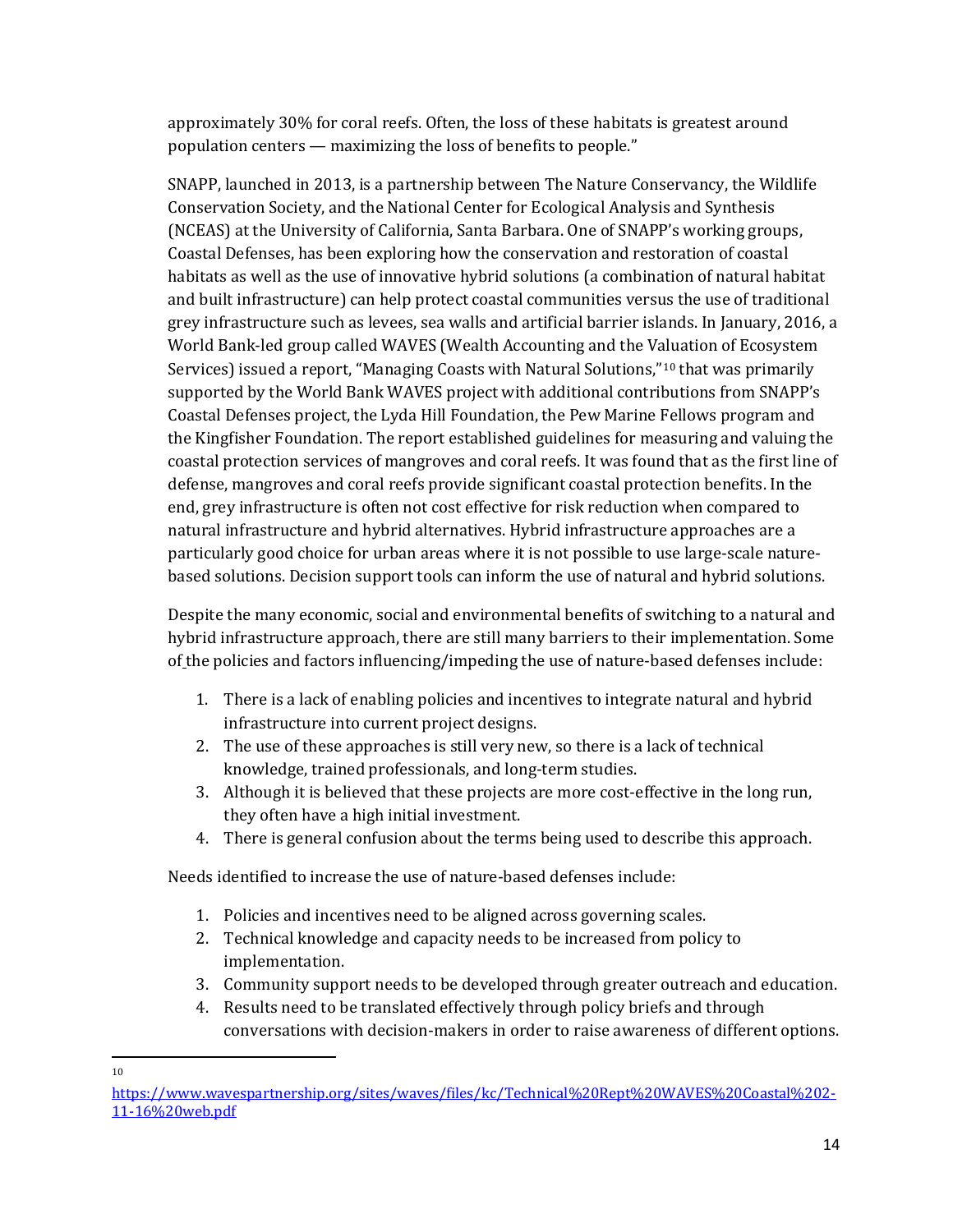approximately 30% for coral reefs. Often, the loss of these habitats is greatest around population centers — maximizing the loss of benefits to people."

SNAPP, launched in 2013, is a partnership between The Nature Conservancy, the Wildlife Conservation Society, and the National Center for Ecological Analysis and Synthesis (NCEAS) at the University of California, Santa Barbara. One of SNAPP's working groups, Coastal Defenses, has been exploring how the conservation and restoration of coastal habitats as well as the use of innovative hybrid solutions (a combination of natural habitat and built infrastructure) can help protect coastal communities versus the use of traditional grey infrastructure such as levees, sea walls and artificial barrier islands. In January, 2016, a World Bank-led group called WAVES (Wealth Accounting and the Valuation of Ecosystem Services) issued a report, "Managing Coasts with Natural Solutions,"[10](#page-14-0) that was primarily supported by the World Bank WAVES project with additional contributions from SNAPP's Coastal Defenses project, the Lyda Hill Foundation, the Pew Marine Fellows program and the Kingfisher Foundation. The report established guidelines for measuring and valuing the coastal protection services of mangroves and coral reefs. It was found that as the first line of defense, mangroves and coral reefs provide significant coastal protection benefits. In the end, grey infrastructure is often not cost effective for risk reduction when compared to natural infrastructure and hybrid alternatives. Hybrid infrastructure approaches are a particularly good choice for urban areas where it is not possible to use large-scale naturebased solutions. Decision support tools can inform the use of natural and hybrid solutions.

Despite the many economic, social and environmental benefits of switching to a natural and hybrid infrastructure approach, there are still many barriers to their implementation. Some of the policies and factors influencing/impeding the use of nature-based defenses include:

- 1. There is a lack of enabling policies and incentives to integrate natural and hybrid infrastructure into current project designs.
- 2. The use of these approaches is still very new, so there is a lack of technical knowledge, trained professionals, and long-term studies.
- 3. Although it is believed that these projects are more cost-effective in the long run, they often have a high initial investment.
- 4. There is general confusion about the terms being used to describe this approach.

Needs identified to increase the use of nature-based defenses include:

- 1. Policies and incentives need to be aligned across governing scales.
- 2. Technical knowledge and capacity needs to be increased from policy to implementation.
- 3. Community support needs to be developed through greater outreach and education.
- 4. Results need to be translated effectively through policy briefs and through conversations with decision-makers in order to raise awareness of different options.

 $\overline{a}$ 10

<span id="page-14-0"></span>[https://www.wavespartnership.org/sites/waves/files/kc/Technical%20Rept%20WAVES%20Coastal%202-](https://www.wavespartnership.org/sites/waves/files/kc/Technical%20Rept%20WAVES%20Coastal%202-11-16%20web.pdf) [11-16%20web.pdf](https://www.wavespartnership.org/sites/waves/files/kc/Technical%20Rept%20WAVES%20Coastal%202-11-16%20web.pdf)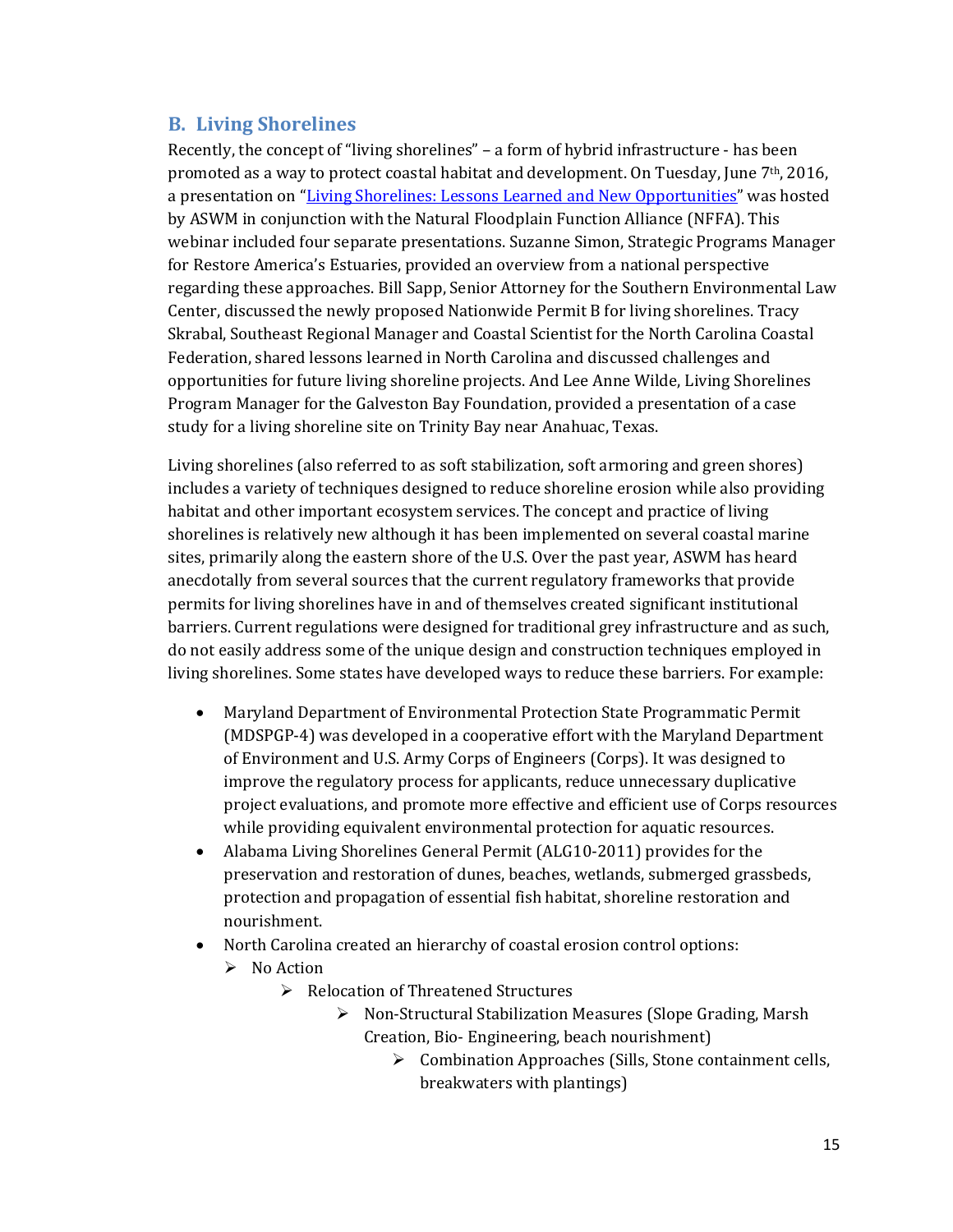#### **B. Living Shorelines**

Recently, the concept of "living shorelines" – a form of hybrid infrastructure - has been promoted as a way to protect coastal habitat and development. On Tuesday, June 7th, 2016, a presentation on ["Living Shorelines: Lessons Learned and New Opportunities"](http://www.aswm.org/testlocal/watersheds/natural-floodplain-function-alliance/9284-2016-nffa-recorded-webinars#webinar060716) was hosted by ASWM in conjunction with the Natural Floodplain Function Alliance (NFFA). This webinar included four separate presentations. Suzanne Simon, Strategic Programs Manager for Restore America's Estuaries, provided an overview from a national perspective regarding these approaches. Bill Sapp, Senior Attorney for the Southern Environmental Law Center, discussed the newly proposed Nationwide Permit B for living shorelines. Tracy Skrabal, Southeast Regional Manager and Coastal Scientist for the North Carolina Coastal Federation, shared lessons learned in North Carolina and discussed challenges and opportunities for future living shoreline projects. And Lee Anne Wilde, Living Shorelines Program Manager for the Galveston Bay Foundation, provided a presentation of a case study for a living shoreline site on Trinity Bay near Anahuac, Texas.

Living shorelines (also referred to as soft stabilization, soft armoring and green shores) includes a variety of techniques designed to reduce shoreline erosion while also providing habitat and other important ecosystem services. The concept and practice of living shorelines is relatively new although it has been implemented on several coastal marine sites, primarily along the eastern shore of the U.S. Over the past year, ASWM has heard anecdotally from several sources that the current regulatory frameworks that provide permits for living shorelines have in and of themselves created significant institutional barriers. Current regulations were designed for traditional grey infrastructure and as such, do not easily address some of the unique design and construction techniques employed in living shorelines. Some states have developed ways to reduce these barriers. For example:

- Maryland Department of Environmental Protection State Programmatic Permit (MDSPGP-4) was developed in a cooperative effort with the Maryland Department of Environment and U.S. Army Corps of Engineers (Corps). It was designed to improve the regulatory process for applicants, reduce unnecessary duplicative project evaluations, and promote more effective and efficient use of Corps resources while providing equivalent environmental protection for aquatic resources.
- Alabama Living Shorelines General Permit (ALG10-2011) provides for the preservation and restoration of dunes, beaches, wetlands, submerged grassbeds, protection and propagation of essential fish habitat, shoreline restoration and nourishment.
- North Carolina created an hierarchy of coastal erosion control options:
	- $\triangleright$  No Action
		- **►** Relocation of Threatened Structures
			- $\triangleright$  Non-Structural Stabilization Measures (Slope Grading, Marsh Creation, Bio- Engineering, beach nourishment)
				- ▶ Combination Approaches (Sills, Stone containment cells, breakwaters with plantings)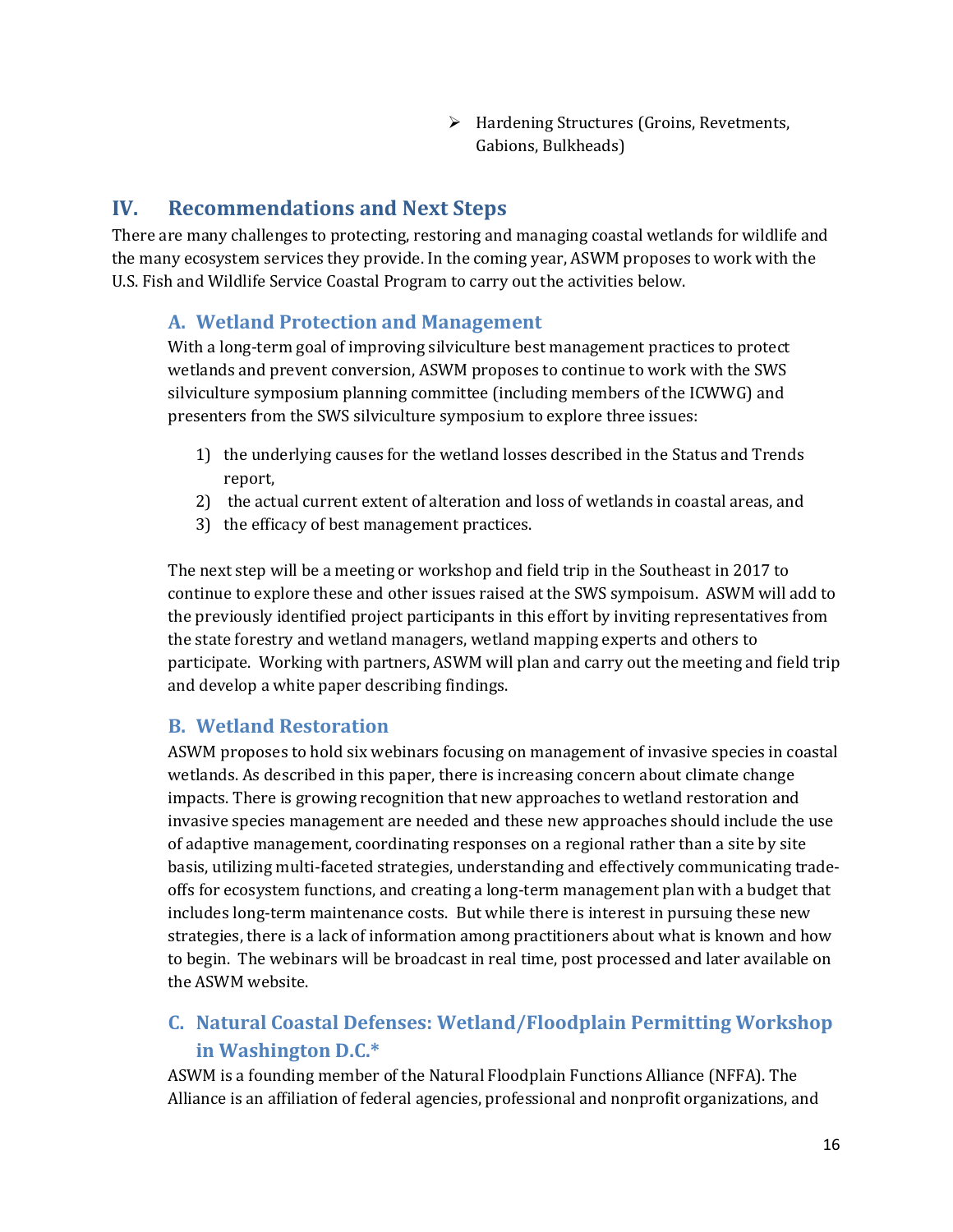$\triangleright$  Hardening Structures (Groins, Revetments, Gabions, Bulkheads)

## **IV. Recommendations and Next Steps**

There are many challenges to protecting, restoring and managing coastal wetlands for wildlife and the many ecosystem services they provide. In the coming year, ASWM proposes to work with the U.S. Fish and Wildlife Service Coastal Program to carry out the activities below.

## **A. Wetland Protection and Management**

With a long-term goal of improving silviculture best management practices to protect wetlands and prevent conversion, ASWM proposes to continue to work with the SWS silviculture symposium planning committee (including members of the ICWWG) and presenters from the SWS silviculture symposium to explore three issues:

- 1) the underlying causes for the wetland losses described in the Status and Trends report,
- 2) the actual current extent of alteration and loss of wetlands in coastal areas, and
- 3) the efficacy of best management practices.

The next step will be a meeting or workshop and field trip in the Southeast in 2017 to continue to explore these and other issues raised at the SWS sympoisum. ASWM will add to the previously identified project participants in this effort by inviting representatives from the state forestry and wetland managers, wetland mapping experts and others to participate. Working with partners, ASWM will plan and carry out the meeting and field trip and develop a white paper describing findings.

#### **B. Wetland Restoration**

ASWM proposes to hold six webinars focusing on management of invasive species in coastal wetlands. As described in this paper, there is increasing concern about climate change impacts. There is growing recognition that new approaches to wetland restoration and invasive species management are needed and these new approaches should include the use of adaptive management, coordinating responses on a regional rather than a site by site basis, utilizing multi-faceted strategies, understanding and effectively communicating tradeoffs for ecosystem functions, and creating a long-term management plan with a budget that includes long-term maintenance costs. But while there is interest in pursuing these new strategies, there is a lack of information among practitioners about what is known and how to begin. The webinars will be broadcast in real time, post processed and later available on the ASWM website.

# **C. Natural Coastal Defenses: Wetland/Floodplain Permitting Workshop in Washington D.C.\***

ASWM is a founding member of the Natural Floodplain Functions Alliance (NFFA). The Alliance is an affiliation of federal agencies, professional and nonprofit organizations, and